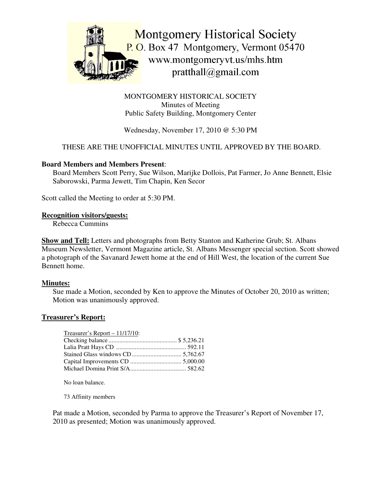

MONTGOMERY HISTORICAL SOCIETY Minutes of Meeting Public Safety Building, Montgomery Center

Wednesday, November 17, 2010 @ 5:30 PM

# THESE ARE THE UNOFFICIAL MINUTES UNTIL APPROVED BY THE BOARD.

#### **Board Members and Members Present**:

Board Members Scott Perry, Sue Wilson, Marijke Dollois, Pat Farmer, Jo Anne Bennett, Elsie Saborowski, Parma Jewett, Tim Chapin, Ken Secor

Scott called the Meeting to order at 5:30 PM.

#### **Recognition visitors/guests:**

Rebecca Cummins

**Show and Tell:** Letters and photographs from Betty Stanton and Katherine Grub; St. Albans Museum Newsletter, Vermont Magazine article, St. Albans Messenger special section. Scott showed a photograph of the Savanard Jewett home at the end of Hill West, the location of the current Sue Bennett home.

# **Minutes:**

Sue made a Motion, seconded by Ken to approve the Minutes of October 20, 2010 as written; Motion was unanimously approved.

# **Treasurer's Report:**

| $T$ reasurer's Report – 11/17/10: |  |
|-----------------------------------|--|
|                                   |  |
|                                   |  |
|                                   |  |
|                                   |  |
|                                   |  |

No loan balance.

73 Affinity members

Pat made a Motion, seconded by Parma to approve the Treasurer's Report of November 17, 2010 as presented; Motion was unanimously approved.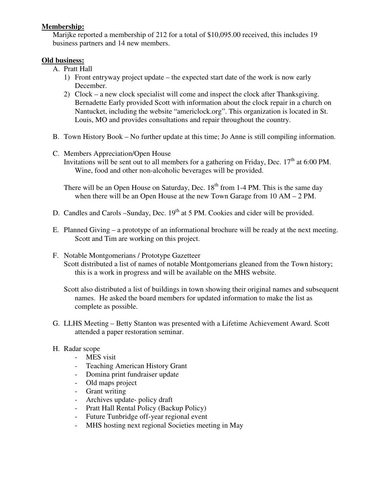## **Membership:**

Marijke reported a membership of 212 for a total of \$10,095.00 received, this includes 19 business partners and 14 new members.

## **Old business:**

- A. Pratt Hall
	- 1) Front entryway project update the expected start date of the work is now early December.
	- 2) Clock a new clock specialist will come and inspect the clock after Thanksgiving. Bernadette Early provided Scott with information about the clock repair in a church on Nantucket, including the website "americlock.org". This organization is located in St. Louis, MO and provides consultations and repair throughout the country.
- B. Town History Book No further update at this time; Jo Anne is still compiling information.
- C. Members Appreciation/Open House
	- Invitations will be sent out to all members for a gathering on Friday, Dec.  $17<sup>th</sup>$  at 6:00 PM. Wine, food and other non-alcoholic beverages will be provided.

There will be an Open House on Saturday, Dec.  $18<sup>th</sup>$  from 1-4 PM. This is the same day when there will be an Open House at the new Town Garage from 10 AM – 2 PM.

- D. Candles and Carols –Sunday, Dec. 19<sup>th</sup> at 5 PM. Cookies and cider will be provided.
- E. Planned Giving a prototype of an informational brochure will be ready at the next meeting. Scott and Tim are working on this project.
- F. Notable Montgomerians / Prototype Gazetteer Scott distributed a list of names of notable Montgomerians gleaned from the Town history; this is a work in progress and will be available on the MHS website.

Scott also distributed a list of buildings in town showing their original names and subsequent names. He asked the board members for updated information to make the list as complete as possible.

G. LLHS Meeting – Betty Stanton was presented with a Lifetime Achievement Award. Scott attended a paper restoration seminar.

# H. Radar scope

- MES visit
- Teaching American History Grant
- Domina print fundraiser update
- Old maps project
- Grant writing
- Archives update- policy draft
- Pratt Hall Rental Policy (Backup Policy)
- Future Tunbridge off-year regional event
- MHS hosting next regional Societies meeting in May